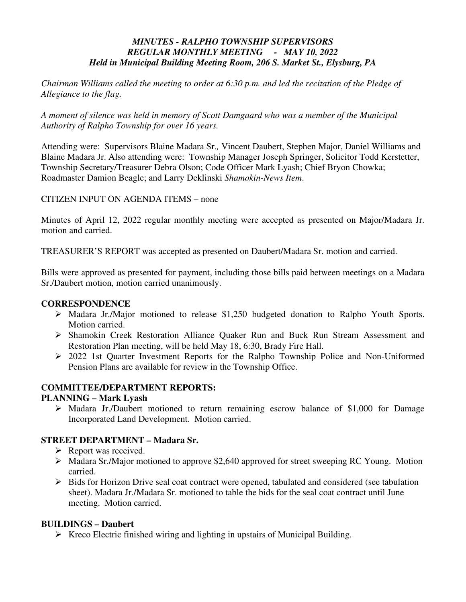# *MINUTES - RALPHO TOWNSHIP SUPERVISORS REGULAR MONTHLY MEETING - MAY 10, 2022 Held in Municipal Building Meeting Room, 206 S. Market St., Elysburg, PA*

*Chairman Williams called the meeting to order at 6:30 p.m. and led the recitation of the Pledge of Allegiance to the flag.* 

*A moment of silence was held in memory of Scott Damgaard who was a member of the Municipal Authority of Ralpho Township for over 16 years.* 

Attending were: Supervisors Blaine Madara Sr.*,* Vincent Daubert, Stephen Major, Daniel Williams and Blaine Madara Jr. Also attending were: Township Manager Joseph Springer, Solicitor Todd Kerstetter, Township Secretary/Treasurer Debra Olson; Code Officer Mark Lyash; Chief Bryon Chowka; Roadmaster Damion Beagle; and Larry Deklinski *Shamokin-News Item*.

CITIZEN INPUT ON AGENDA ITEMS – none

Minutes of April 12, 2022 regular monthly meeting were accepted as presented on Major/Madara Jr. motion and carried.

TREASURER'S REPORT was accepted as presented on Daubert/Madara Sr. motion and carried.

Bills were approved as presented for payment, including those bills paid between meetings on a Madara Sr./Daubert motion, motion carried unanimously.

## **CORRESPONDENCE**

- Madara Jr./Major motioned to release \$1,250 budgeted donation to Ralpho Youth Sports. Motion carried.
- Shamokin Creek Restoration Alliance Quaker Run and Buck Run Stream Assessment and Restoration Plan meeting, will be held May 18, 6:30, Brady Fire Hall.
- 2022 1st Quarter Investment Reports for the Ralpho Township Police and Non-Uniformed Pension Plans are available for review in the Township Office.

# **COMMITTEE/DEPARTMENT REPORTS:**

## **PLANNING – Mark Lyash**

 Madara Jr./Daubert motioned to return remaining escrow balance of \$1,000 for Damage Incorporated Land Development. Motion carried.

## **STREET DEPARTMENT – Madara Sr.**

- $\triangleright$  Report was received.
- Madara Sr./Major motioned to approve \$2,640 approved for street sweeping RC Young. Motion carried.
- $\triangleright$  Bids for Horizon Drive seal coat contract were opened, tabulated and considered (see tabulation sheet). Madara Jr./Madara Sr. motioned to table the bids for the seal coat contract until June meeting. Motion carried.

# **BUILDINGS – Daubert**

 $\triangleright$  Kreco Electric finished wiring and lighting in upstairs of Municipal Building.